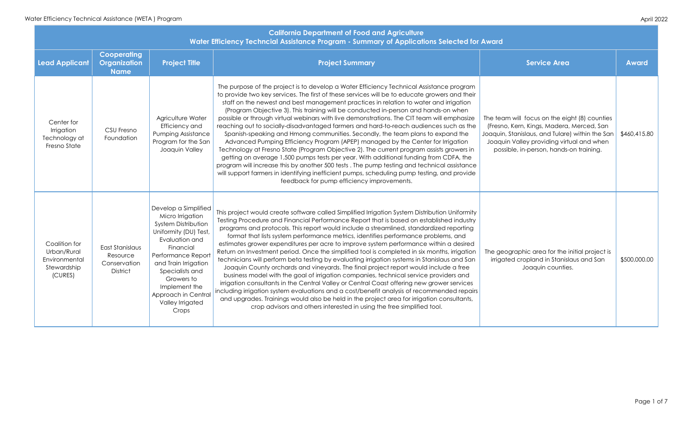| <b>California Department of Food and Agriculture</b><br>Water Efficiency Techncial Assistance Program - Summary of Applications Selected for Award |                                                                |                                                                                                                                                                                                                                                                             |                                                                                                                                                                                                                                                                                                                                                                                                                                                                                                                                                                                                                                                                                                                                                                                                                                                                                                                                                                                                                                                                                                                                                                                                                           |                                                                                                                                                                                                                                       |              |  |
|----------------------------------------------------------------------------------------------------------------------------------------------------|----------------------------------------------------------------|-----------------------------------------------------------------------------------------------------------------------------------------------------------------------------------------------------------------------------------------------------------------------------|---------------------------------------------------------------------------------------------------------------------------------------------------------------------------------------------------------------------------------------------------------------------------------------------------------------------------------------------------------------------------------------------------------------------------------------------------------------------------------------------------------------------------------------------------------------------------------------------------------------------------------------------------------------------------------------------------------------------------------------------------------------------------------------------------------------------------------------------------------------------------------------------------------------------------------------------------------------------------------------------------------------------------------------------------------------------------------------------------------------------------------------------------------------------------------------------------------------------------|---------------------------------------------------------------------------------------------------------------------------------------------------------------------------------------------------------------------------------------|--------------|--|
| <b>Lead Applicant</b>                                                                                                                              | <b>Cooperating</b><br>Organization<br><b>Name</b>              | <b>Project Title</b>                                                                                                                                                                                                                                                        | <b>Project Summary</b>                                                                                                                                                                                                                                                                                                                                                                                                                                                                                                                                                                                                                                                                                                                                                                                                                                                                                                                                                                                                                                                                                                                                                                                                    | <b>Service Area</b>                                                                                                                                                                                                                   | <b>Award</b> |  |
| Center for<br>Irrigation<br>Technology at<br>Fresno State                                                                                          | <b>CSU Fresno</b><br>Foundation                                | Agriculture Water<br>Efficiency and<br><b>Pumping Assistance</b><br>Program for the San<br>Joaquin Valley                                                                                                                                                                   | The purpose of the project is to develop a Water Efficiency Technical Assistance program<br>to provide two key services. The first of these services will be to educate growers and their<br>staff on the newest and best management practices in relation to water and irrigation<br>(Program Objective 3). This training will be conducted in-person and hands-on when<br>possible or through virtual webinars with live demonstrations. The CIT team will emphasize<br>reaching out to socially-disadvantaged farmers and hard-to-reach audiences such as the<br>Spanish-speaking and Hmong communities. Secondly, the team plans to expand the<br>Advanced Pumping Efficiency Program (APEP) managed by the Center for Irrigation<br>Technology at Fresno State (Program Objective 2). The current program assists growers in<br>getting on average 1,500 pumps tests per year. With additional funding from CDFA, the<br>program will increase this by another 500 tests. The pump testing and technical assistance<br>will support farmers in identifying inefficient pumps, scheduling pump testing, and provide<br>feedback for pump efficiency improvements.                                                     | The team will focus on the eight (8) counties<br>(Fresno, Kern, Kings, Madera, Merced, San<br>Joaquin, Stanislaus, and Tulare) within the San<br>Joaquin Valley providing virtual and when<br>possible, in-person, hands-on training. | \$460,415.80 |  |
| Coalition for<br>Urban/Rural<br>Environmental<br>Stewardship<br>(CURES)                                                                            | East Stanislaus<br>Resource<br>Conservation<br><b>District</b> | Develop a Simplified<br>Micro Irrigation<br>System Distribution<br>Uniformity (DU) Test,<br>Evaluation and<br>Financial<br>Performance Report<br>and Train Irrigation<br>Specialists and<br>Growers to<br>Implement the<br>Approach in Central<br>Valley Irrigated<br>Crops | This project would create software called Simplified Irrigation System Distribution Uniformity<br>Testing Procedure and Financial Performance Report that is based on established industry<br>programs and protocols. This report would include a streamlined, standardized reporting<br>format that lists system performance metrics, identifies performance problems, and<br>estimates grower expenditures per acre to improve system performance within a desired<br>Return on Investment period. Once the simplified tool is completed in six months, irrigation<br>technicians will perform beta testing by evaluating irrigation systems in Stanislaus and San<br>Joaquin County orchards and vineyards. The final project report would include a free<br>business model with the goal of irrigation companies, technical service providers and<br>irrigation consultants in the Central Valley or Central Coast offering new grower services<br>including irrigation system evaluations and a cost/benefit analysis of recommended repairs<br>and upgrades. Trainings would also be held in the project area for irrigation consultants,<br>crop advisors and others interested in using the free simplified tool. | The geographic area for the initial project is<br>irrigated cropland in Stanislaus and San<br>Joaquin counties.                                                                                                                       | \$500,000.00 |  |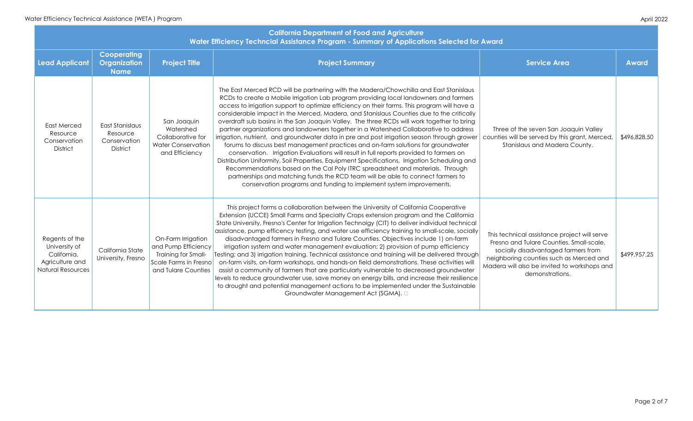| <b>California Department of Food and Agriculture</b><br>Water Efficiency Techncial Assistance Program - Summary of Applications Selected for Award |                                                                |                                                                                                                  |                                                                                                                                                                                                                                                                                                                                                                                                                                                                                                                                                                                                                                                                                                                                                                                                                                                                                                                                                                                                                                                                                                                                                                                              |                                                                                                                                                                                                                                               |              |  |
|----------------------------------------------------------------------------------------------------------------------------------------------------|----------------------------------------------------------------|------------------------------------------------------------------------------------------------------------------|----------------------------------------------------------------------------------------------------------------------------------------------------------------------------------------------------------------------------------------------------------------------------------------------------------------------------------------------------------------------------------------------------------------------------------------------------------------------------------------------------------------------------------------------------------------------------------------------------------------------------------------------------------------------------------------------------------------------------------------------------------------------------------------------------------------------------------------------------------------------------------------------------------------------------------------------------------------------------------------------------------------------------------------------------------------------------------------------------------------------------------------------------------------------------------------------|-----------------------------------------------------------------------------------------------------------------------------------------------------------------------------------------------------------------------------------------------|--------------|--|
| <b>Lead Applicant</b>                                                                                                                              | <b>Cooperating</b><br><b>Organization</b><br><b>Name</b>       | <b>Project Title</b>                                                                                             | <b>Project Summary</b>                                                                                                                                                                                                                                                                                                                                                                                                                                                                                                                                                                                                                                                                                                                                                                                                                                                                                                                                                                                                                                                                                                                                                                       | <b>Service Area</b>                                                                                                                                                                                                                           | <b>Award</b> |  |
| <b>East Merced</b><br>Resource<br>Conservation<br>District                                                                                         | East Stanislaus<br>Resource<br>Conservation<br><b>District</b> | San Joaquin<br>Watershed<br>Collaborative for<br><b>Water Conservation</b><br>and Efficiency                     | The East Merced RCD will be partnering with the Madera/Chowchilla and East Stanislaus<br>RCDs to create a Mobile Irrigation Lab program providing local landowners and farmers<br>access to irrigation support to optimize efficiency on their farms. This program will have a<br>considerable impact in the Merced, Madera, and Stanislaus Counties due to the critically<br>overdraft sub basins in the San Joaquin Valley. The three RCDs will work together to bring<br>partner organizations and landowners together in a Watershed Collaborative to address<br>irrigation, nutrient, and groundwater data in pre and post irrigation season through grower<br>forums to discuss best management practices and on-farm solutions for groundwater<br>conservation. Irrigation Evaluations will result in full reports provided to farmers on<br>Distribution Uniformity, Soil Properties, Equipment Specifications, Irrigation Scheduling and<br>Recommendations based on the Cal Poly ITRC spreadsheet and materials. Through<br>partnerships and matching funds the RCD team will be able to connect farmers to<br>conservation programs and funding to implement system improvements. | Three of the seven San Joaquin Valley<br>counties will be served by this grant, Merced,<br>Stanislaus and Madera County.                                                                                                                      | \$496,828.5  |  |
| Regents of the<br>University of<br>California,<br>Agriculture and<br><b>Natural Resources</b>                                                      | California State<br>University, Fresno                         | On-Farm Irrigation<br>and Pump Efficiency<br>Training for Small-<br>Scale Farms in Fresno<br>and Tulare Counties | This project forms a collaboration between the University of California Cooperative<br>Extension (UCCE) Small Farms and Specialty Crops extension program and the California<br>State University, Fresno's Center for Irrigation Technolgy (CIT) to deliver individual technical<br>assistance, pump efficency testing, and water use efficiency training to small-scale, socially<br>disadvantaged farmers in Fresno and Tulare Counties. Objectives include 1) on-farm<br>irrigation system and water management evaluation; 2) provision of pump efficiency<br>Testing; and 3) irrigation training. Technical assistance and training will be delivered through<br>on-farm visits, on-farm workshops, and hands-on field demonstrations. These activities will<br>assist a community of farmers that are particularly vulnerable to decreased groundwater<br>levels to reduce groundwater use, save money on energy bills, and increase their resilience<br>to drought and potential management actions to be implemented under the Sustainable<br>Groundwater Management Act (SGMA). $\square$                                                                                           | This technical assistance project will serve<br>Fresno and Tulare Counties. Small-scale,<br>socially disadvantaged farmers from<br>neighboring counties such as Merced and<br>Madera will also be invited to workshops and<br>demonstrations. | \$499,957.2  |  |

| elected for Award                                                                                                                                                   |                                                                                                                                                                                                                                               |              |  |  |
|---------------------------------------------------------------------------------------------------------------------------------------------------------------------|-----------------------------------------------------------------------------------------------------------------------------------------------------------------------------------------------------------------------------------------------|--------------|--|--|
|                                                                                                                                                                     | <b>Service Area</b>                                                                                                                                                                                                                           | <b>Award</b> |  |  |
| Stanislaus<br>ad farmers<br>vill have a<br>e critically<br>er to bring<br>to address<br>ugh grower<br>ndwater<br>ners on<br>duling and<br>Through<br>mers to<br>ts. | Three of the seven San Joaquin Valley<br>counties will be served by this grant, Merced,<br>Stanislaus and Madera County.                                                                                                                      | \$496,828.50 |  |  |
| erative<br>California<br>ul technical<br>ale, socially<br>on-farm<br>fficiency<br>red through<br>tivities will:<br>oundwater<br>eir resilience<br>iustainable       | This technical assistance project will serve<br>Fresno and Tulare Counties. Small-scale,<br>socially disadvantaged farmers from<br>neighboring counties such as Merced and<br>Madera will also be invited to workshops and<br>demonstrations. | \$499,957.25 |  |  |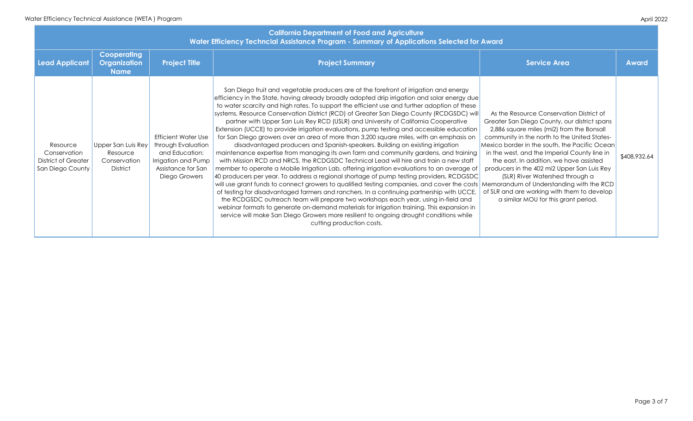| <b>California Department of Food and Agriculture</b><br>Water Efficiency Techncial Assistance Program - Summary of Applications Selected for Award |                                                                   |                                                                                                                                  |                                                                                                                                                                                                                                                                                                                                                                                                                                                                                                                                                                                                                                                                                                                                                                                                                                                                                                                                                                                                                                                                                                                                                                                                                                                                                                                                                                                                                                                                                                                                                                                                                                                                               |                                                                                                                                                                                                                                                                                                                                                                                                                                                                                                            |              |  |
|----------------------------------------------------------------------------------------------------------------------------------------------------|-------------------------------------------------------------------|----------------------------------------------------------------------------------------------------------------------------------|-------------------------------------------------------------------------------------------------------------------------------------------------------------------------------------------------------------------------------------------------------------------------------------------------------------------------------------------------------------------------------------------------------------------------------------------------------------------------------------------------------------------------------------------------------------------------------------------------------------------------------------------------------------------------------------------------------------------------------------------------------------------------------------------------------------------------------------------------------------------------------------------------------------------------------------------------------------------------------------------------------------------------------------------------------------------------------------------------------------------------------------------------------------------------------------------------------------------------------------------------------------------------------------------------------------------------------------------------------------------------------------------------------------------------------------------------------------------------------------------------------------------------------------------------------------------------------------------------------------------------------------------------------------------------------|------------------------------------------------------------------------------------------------------------------------------------------------------------------------------------------------------------------------------------------------------------------------------------------------------------------------------------------------------------------------------------------------------------------------------------------------------------------------------------------------------------|--------------|--|
| <b>Lead Applicant</b>                                                                                                                              | <b>Cooperating</b><br><b>Organization</b><br><b>Name</b>          | <b>Project Title</b>                                                                                                             | <b>Project Summary</b>                                                                                                                                                                                                                                                                                                                                                                                                                                                                                                                                                                                                                                                                                                                                                                                                                                                                                                                                                                                                                                                                                                                                                                                                                                                                                                                                                                                                                                                                                                                                                                                                                                                        | <b>Service Area</b>                                                                                                                                                                                                                                                                                                                                                                                                                                                                                        | <b>Award</b> |  |
| Resource<br>Conservation<br><b>District of Greater</b><br>San Diego County                                                                         | Upper San Luis Rey<br>Resource<br>Conservation<br><b>District</b> | <b>Efficient Water Use</b><br>through Evaluation<br>and Education:<br>Irrigation and Pump<br>Assistance for San<br>Diego Growers | San Diego fruit and vegetable producers are at the forefront of irrigation and energy<br>efficiency in the State, having already broadly adopted drip irrigation and solar energy due<br>to water scarcity and high rates. To support the efficient use and further adoption of these<br>systems, Resource Conservation District (RCD) of Greater San Diego County (RCDGSDC) will<br>partner with Upper San Luis Rey RCD (USLR) and University of California Cooperative<br>Extension (UCCE) to provide irrigation evaluations, pump testing and accessible education<br>for San Diego growers over an area of more than 3,200 square miles, with an emphasis on<br>disadvantaged producers and Spanish-speakers. Building on existing irrigation<br>maintenance expertise from managing its own farm and community gardens, and training<br>with Mission RCD and NRCS, the RCDGSDC Technical Lead will hire and train a new staff<br>member to operate a Mobile Irrigation Lab, offering irrigation evaluations to an average of<br>40 producers per year. To address a regional shortage of pump testing providers, RCDGSDC<br>will use grant funds to connect growers to qualified testing companies, and cover the costs Memorandum of Understanding with the RCD<br>of testing for disadvantaged farmers and ranchers. In a continuing partnership with UCCE,<br>the RCDGSDC outreach team will prepare two workshops each year, using in-field and<br>webinar formats to generate on-demand materials for irrigation training. This expansion in<br>service will make San Diego Growers more resilient to ongoing drought conditions while<br>cutting production costs. | As the Resource Conservation District of<br>Greater San Diego County, our district spans<br>2,886 square miles (mi2) from the Bonsall<br>community in the north to the United States-<br>Mexico border in the south, the Pacific Ocean<br>in the west, and the Imperial County line in<br>the east. In addition, we have assisted<br>producers in the 402 mi2 Upper San Luis Rey<br>(SLR) River Watershed through a<br>of SLR and are working with them to develop<br>a similar MOU for this grant period. | \$408,932.64 |  |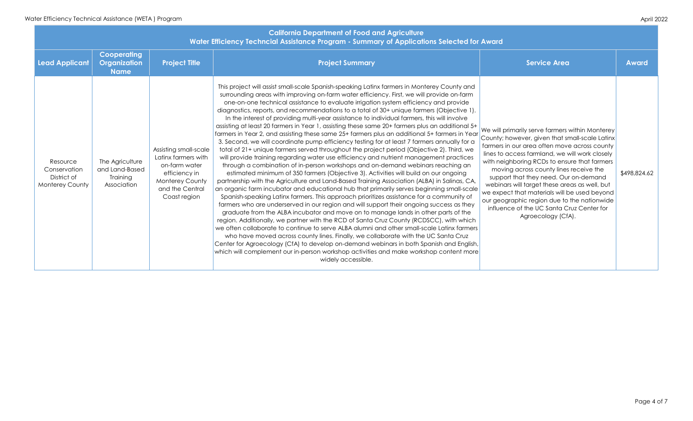| <b>lected for Award</b>                                                                                                                                                                                                                                                                                              |                                                                                                                                                                                                                                                                                                                                                                                                                                                                                                                                                           |              |  |  |  |  |
|----------------------------------------------------------------------------------------------------------------------------------------------------------------------------------------------------------------------------------------------------------------------------------------------------------------------|-----------------------------------------------------------------------------------------------------------------------------------------------------------------------------------------------------------------------------------------------------------------------------------------------------------------------------------------------------------------------------------------------------------------------------------------------------------------------------------------------------------------------------------------------------------|--------------|--|--|--|--|
|                                                                                                                                                                                                                                                                                                                      | <b>Service Area</b>                                                                                                                                                                                                                                                                                                                                                                                                                                                                                                                                       | <b>Award</b> |  |  |  |  |
| ounty and<br>e on-farm<br>provide<br>pjective 1).<br>involve<br>ditional 5+<br>ners in Year<br><b>ually</b> for a<br>. Third, we<br>practices<br>ching an<br>ngoing<br>alinas, CA,<br>small-scale<br>munity of<br>ess as they<br>irts of the<br>with which<br>tinx farmers<br>nta Cruz<br>and English,<br>ntent more | We will primarily serve farmers within Monterey<br>County; however, given that small-scale Latinx<br>farmers in our area often move across county<br>lines to access farmland, we will work closely<br>with neighboring RCDs to ensure that farmers<br>moving across county lines receive the<br>support that they need. Our on-demand<br>webinars will target these areas as well, but<br>we expect that materials will be used beyond<br>our geographic region due to the nationwide<br>influence of the UC Santa Cruz Center for<br>Agroecology (CfA). | \$498,824.62 |  |  |  |  |

| <b>California Department of Food and Agriculture</b><br>Water Efficiency Techncial Assistance Program - Summary of Applications Selected for Award |                                                              |                                                                                                                                             |                                                                                                                                                                                                                                                                                                                                                                                                                                                                                                                                                                                                                                                                                                                                                                                                                                                                                                                                                                                                                                                                                                                                                                                                                                                                                                                                                                                                                                                                                                                                                                                                                                                                                                                                                                                                                                                                                                                                                                                                                                                                                                                       |                                                                                                                                                                                                                                                                                                                                                                                                                                                                                                                                                           |              |  |
|----------------------------------------------------------------------------------------------------------------------------------------------------|--------------------------------------------------------------|---------------------------------------------------------------------------------------------------------------------------------------------|-----------------------------------------------------------------------------------------------------------------------------------------------------------------------------------------------------------------------------------------------------------------------------------------------------------------------------------------------------------------------------------------------------------------------------------------------------------------------------------------------------------------------------------------------------------------------------------------------------------------------------------------------------------------------------------------------------------------------------------------------------------------------------------------------------------------------------------------------------------------------------------------------------------------------------------------------------------------------------------------------------------------------------------------------------------------------------------------------------------------------------------------------------------------------------------------------------------------------------------------------------------------------------------------------------------------------------------------------------------------------------------------------------------------------------------------------------------------------------------------------------------------------------------------------------------------------------------------------------------------------------------------------------------------------------------------------------------------------------------------------------------------------------------------------------------------------------------------------------------------------------------------------------------------------------------------------------------------------------------------------------------------------------------------------------------------------------------------------------------------------|-----------------------------------------------------------------------------------------------------------------------------------------------------------------------------------------------------------------------------------------------------------------------------------------------------------------------------------------------------------------------------------------------------------------------------------------------------------------------------------------------------------------------------------------------------------|--------------|--|
| <b>Lead Applicant</b>                                                                                                                              | <b>Cooperating</b><br>Organization<br><b>Name</b>            | <b>Project Title</b>                                                                                                                        | <b>Project Summary</b>                                                                                                                                                                                                                                                                                                                                                                                                                                                                                                                                                                                                                                                                                                                                                                                                                                                                                                                                                                                                                                                                                                                                                                                                                                                                                                                                                                                                                                                                                                                                                                                                                                                                                                                                                                                                                                                                                                                                                                                                                                                                                                | <b>Service Area</b>                                                                                                                                                                                                                                                                                                                                                                                                                                                                                                                                       | <b>Award</b> |  |
| Resource<br>Conservation<br>District of<br><b>Monterey County</b>                                                                                  | The Agriculture<br>and Land-Based<br>Training<br>Association | Assisting small-scale<br>Latinx farmers with<br>on-farm water<br>efficiency in<br><b>Monterey County</b><br>and the Central<br>Coast region | This project will assist small-scale Spanish-speaking Latinx farmers in Monterey County and<br>surrounding areas with improving on-farm water efficiency. First, we will provide on-farm<br>one-on-one technical assistance to evaluate irrigation system efficiency and provide<br>diagnostics, reports, and recommendations to a total of 30+ unique farmers (Objective 1).<br>In the interest of providing multi-year assistance to individual farmers, this will involve<br>assisting at least 20 farmers in Year 1, assisting these same 20+ farmers plus an additional 5+<br>farmers in Year 2, and assisting these same 25+ farmers plus an additional 5+ farmers in Year<br>3. Second, we will coordinate pump efficiency testing for at least 7 farmers annually for a<br>total of 21+ unique farmers served throughout the project period (Objective 2). Third, we<br>will provide training regarding water use efficiency and nutrient management practices<br>through a combination of in-person workshops and on-demand webinars reaching an<br>estimated minimum of 350 farmers (Objective 3). Activities will build on our ongoing<br>partnership with the Agriculture and Land-Based Training Association (ALBA) in Salinas, CA,<br>an organic farm incubator and educational hub that primarily serves beginning small-scale<br>Spanish-speaking Latinx farmers. This approach prioritizes assistance for a community of<br>farmers who are underserved in our region and will support their ongoing success as they<br>graduate from the ALBA incubator and move on to manage lands in other parts of the<br>region. Additionally, we partner with the RCD of Santa Cruz County (RCDSCC), with which<br>we often collaborate to continue to serve ALBA alumni and other small-scale Latinx farmers<br>who have moved across county lines. Finally, we collaborate with the UC Santa Cruz<br>Center for Agroecology (CfA) to develop on-demand webinars in both Spanish and English,<br>which will complement our in-person workshop activities and make workshop content more<br>widely accessible. | We will primarily serve farmers within Monterey<br>County; however, given that small-scale Latinx<br>farmers in our area often move across county<br>lines to access farmland, we will work closely<br>with neighboring RCDs to ensure that farmers<br>moving across county lines receive the<br>support that they need. Our on-demand<br>webinars will target these areas as well, but<br>we expect that materials will be used beyond<br>our geographic region due to the nationwide<br>influence of the UC Santa Cruz Center for<br>Agroecology (CfA). | \$498,824.6  |  |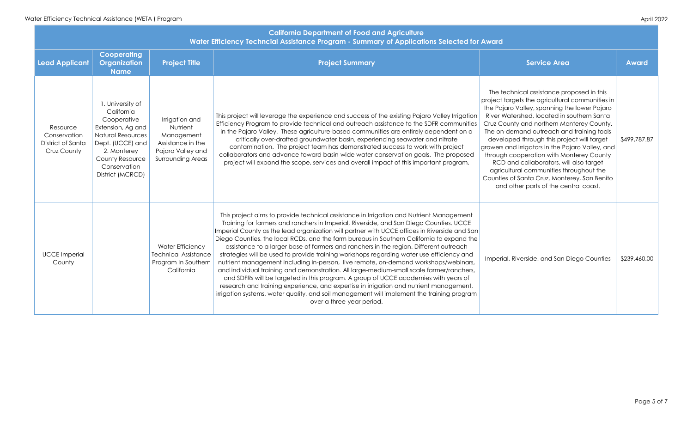| <b>California Department of Food and Agriculture</b><br>Water Efficiency Techncial Assistance Program - Summary of Applications Selected for Award |                                                                                                                                                                                         |                                                                                                                |                                                                                                                                                                                                                                                                                                                                                                                                                                                                                                                                                                                                                                                                                                                                                                                                                                                                                                                                                                                                                                                                    |                                                                                                                                                                                                                                                                                                                                                                                                                                                                                                                                                                                                                   |              |  |
|----------------------------------------------------------------------------------------------------------------------------------------------------|-----------------------------------------------------------------------------------------------------------------------------------------------------------------------------------------|----------------------------------------------------------------------------------------------------------------|--------------------------------------------------------------------------------------------------------------------------------------------------------------------------------------------------------------------------------------------------------------------------------------------------------------------------------------------------------------------------------------------------------------------------------------------------------------------------------------------------------------------------------------------------------------------------------------------------------------------------------------------------------------------------------------------------------------------------------------------------------------------------------------------------------------------------------------------------------------------------------------------------------------------------------------------------------------------------------------------------------------------------------------------------------------------|-------------------------------------------------------------------------------------------------------------------------------------------------------------------------------------------------------------------------------------------------------------------------------------------------------------------------------------------------------------------------------------------------------------------------------------------------------------------------------------------------------------------------------------------------------------------------------------------------------------------|--------------|--|
| <b>Lead Applicant</b>                                                                                                                              | <b>Cooperating</b><br><b>Organization</b><br><b>Name</b>                                                                                                                                | <b>Project Title</b>                                                                                           | <b>Project Summary</b>                                                                                                                                                                                                                                                                                                                                                                                                                                                                                                                                                                                                                                                                                                                                                                                                                                                                                                                                                                                                                                             | <b>Service Area</b>                                                                                                                                                                                                                                                                                                                                                                                                                                                                                                                                                                                               | <b>Award</b> |  |
| Resource<br>Conservation<br>District of Santa<br>Cruz County                                                                                       | . University of<br>California<br>Cooperative<br>Extension, Ag and<br><b>Natural Resources</b><br>Dept. (UCCE) and<br>2. Monterey<br>County Resource<br>Conservation<br>District (MCRCD) | Irrigation and<br>Nutrient<br>Management<br>Assistance in the<br>Pajaro Valley and<br><b>Surrounding Areas</b> | This project will leverage the experience and success of the existing Pajaro Valley Irrigation<br>Efficiency Program to provide technical and outreach assistance to the SDFR communities<br>in the Pajaro Valley. These agriculture-based communities are entirely dependent on a<br>critically over-drafted groundwater basin, experiencing seawater and nitrate<br>contamination. The project team has demonstrated success to work with project<br>collaborators and advance toward basin-wide water conservation goals. The proposed<br>project will expand the scope, services and overall impact of this important program.                                                                                                                                                                                                                                                                                                                                                                                                                                 | The technical assistance proposed in this<br>project targets the agricultural communities in<br>the Pajaro Valley, spanning the lower Pajaro<br>River Watershed, located in southern Santa<br>Cruz County and northern Monterey County.<br>The on-demand outreach and training tools<br>developed through this project will target<br>growers and irrigators in the Pajaro Valley, and<br>through cooperation with Monterey County<br>RCD and collaborators, will also target<br>agricultural communities throughout the<br>Counties of Santa Cruz, Monterey, San Benito<br>and other parts of the central coast. | \$499,787.87 |  |
| <b>UCCE Imperial</b><br>County                                                                                                                     |                                                                                                                                                                                         | <b>Water Efficiency</b><br><b>Technical Assistance</b><br>Program In Southern<br>California                    | This project aims to provide technical assistance in Irrigation and Nutrient Management<br>Training for farmers and ranchers in Imperial, Riverside, and San Diego Counties. UCCE<br>Imperial County as the lead organization will partner with UCCE offices in Riverside and San<br>Diego Counties, the local RCDs, and the farm bureaus in Southern California to expand the<br>assistance to a larger base of farmers and ranchers in the region. Different outreach<br>strategies will be used to provide training workshops regarding water use efficiency and<br>nutrient management including in-person, live remote, on-demand workshops/webinars,<br>and individual training and demonstration. All large-medium-small scale farmer/ranchers,<br>and SDFRs will be targeted in this program. A group of UCCE academies with years of<br>research and training experience, and expertise in irrigation and nutrient management,<br>irrigation systems, water quality, and soil management will implement the training program<br>over a three-year period. | Imperial, Riverside, and San Diego Counties                                                                                                                                                                                                                                                                                                                                                                                                                                                                                                                                                                       | \$239,460.00 |  |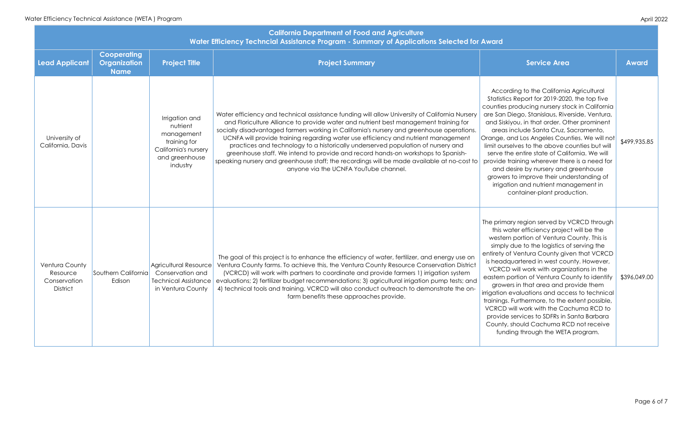| <b>California Department of Food and Agriculture</b><br>Water Efficiency Techncial Assistance Program - Summary of Applications Selected for Award |                                                          |                                                                                                                |                                                                                                                                                                                                                                                                                                                                                                                                                                                                                                                                                                                                                                                                                         |                                                                                                                                                                                                                                                                                                                                                                                                                                                                                                                                                                                                                                                                                                     |              |  |
|----------------------------------------------------------------------------------------------------------------------------------------------------|----------------------------------------------------------|----------------------------------------------------------------------------------------------------------------|-----------------------------------------------------------------------------------------------------------------------------------------------------------------------------------------------------------------------------------------------------------------------------------------------------------------------------------------------------------------------------------------------------------------------------------------------------------------------------------------------------------------------------------------------------------------------------------------------------------------------------------------------------------------------------------------|-----------------------------------------------------------------------------------------------------------------------------------------------------------------------------------------------------------------------------------------------------------------------------------------------------------------------------------------------------------------------------------------------------------------------------------------------------------------------------------------------------------------------------------------------------------------------------------------------------------------------------------------------------------------------------------------------------|--------------|--|
| <b>Lead Applicant</b>                                                                                                                              | <b>Cooperating</b><br><b>Organization</b><br><b>Name</b> | <b>Project Title</b>                                                                                           | <b>Project Summary</b>                                                                                                                                                                                                                                                                                                                                                                                                                                                                                                                                                                                                                                                                  | <b>Service Area</b>                                                                                                                                                                                                                                                                                                                                                                                                                                                                                                                                                                                                                                                                                 | <b>Award</b> |  |
| University of<br>California, Davis                                                                                                                 |                                                          | Irrigation and<br>nutrient<br>management<br>training for<br>California's nursery<br>and greenhouse<br>industry | Water efficiency and technical assistance funding will allow University of California Nursery<br>and Floriculture Alliance to provide water and nutrient best management training for<br>socially disadvantaged farmers working in California's nursery and greenhouse operations.<br>UCNFA will provide training regarding water use efficiency and nutrient management<br>practices and technology to a historically underserved population of nursery and<br>greenhouse staff. We intend to provide and record hands-on workshops to Spanish-<br>speaking nursery and greenhouse staff; the recordings will be made available at no-cost to<br>anyone via the UCNFA YouTube channel. | According to the California Agricultural<br>Statistics Report for 2019-2020, the top five<br>counties producing nursery stock in California<br>are San Diego, Stanislaus, Riverside, Ventura,<br>and Siskiyou, in that order. Other prominent<br>areas include Santa Cruz, Sacramento,<br>Orange, and Los Angeles Counties. We will not<br>limit ourselves to the above counties but will<br>serve the entire state of California. We will<br>provide training wherever there is a need for<br>and desire by nursery and greenhouse<br>growers to improve their understanding of<br>irrigation and nutrient management in<br>container-plant production.                                            | \$499,935.85 |  |
| <b>Ventura County</b><br>Resource<br>Conservation<br>District                                                                                      | Southern California<br>Edison                            | Agricultural Resource<br>Conservation and<br><b>Technical Assistance</b><br>in Ventura County                  | The goal of this project is to enhance the efficiency of water, fertilizer, and energy use on<br>Ventura County farms. To achieve this, the Ventura County Resource Conservation District<br>(VCRCD) will work with partners to coordinate and provide farmers 1) irrigation system<br>evaluations; 2) fertilizer budget recommendations; 3) agricultural irrigation pump tests; and<br>4) technical tools and training. VCRCD will also conduct outreach to demonstrate the on-<br>farm benefits these approaches provide.                                                                                                                                                             | The primary region served by VCRCD through<br>this water efficiency project will be the<br>western portion of Ventura County. This is<br>simply due to the logistics of serving the<br>entirety of Ventura County given that VCRCD<br>is headquartered in west county. However,<br>VCRCD will work with organizations in the<br>eastern portion of Ventura County to identify<br>growers in that area and provide them<br>irrigation evaluations and access to technical<br>trainings. Furthermore, to the extent possible,<br>VCRCD will work with the Cachuma RCD to<br>provide services to SDFRs in Santa Barbara<br>County, should Cachuma RCD not receive<br>funding through the WETA program. | \$396,049.00 |  |